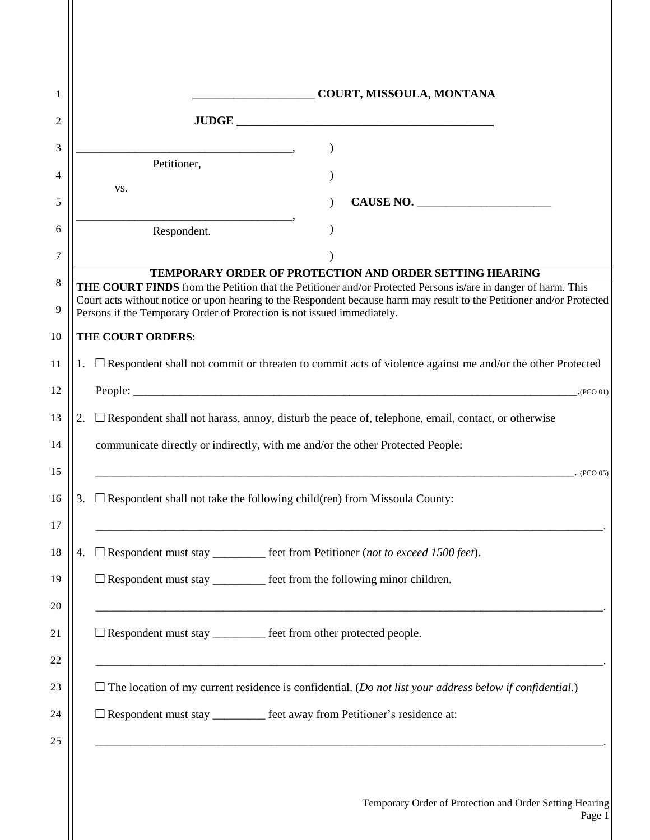|    |                                                                                     | COURT, MISSOULA, MONTANA                                                                                                                                                                                                                       |  |  |
|----|-------------------------------------------------------------------------------------|------------------------------------------------------------------------------------------------------------------------------------------------------------------------------------------------------------------------------------------------|--|--|
|    |                                                                                     |                                                                                                                                                                                                                                                |  |  |
|    | $\overline{\phantom{a}}$                                                            | $\mathcal{E}$                                                                                                                                                                                                                                  |  |  |
|    | Petitioner,                                                                         |                                                                                                                                                                                                                                                |  |  |
|    | VS.                                                                                 | CAUSE NO.                                                                                                                                                                                                                                      |  |  |
|    | Respondent.                                                                         |                                                                                                                                                                                                                                                |  |  |
|    |                                                                                     |                                                                                                                                                                                                                                                |  |  |
|    |                                                                                     | <b>TEMPORARY ORDER OF PROTECTION AND ORDER SETTING HEARING</b>                                                                                                                                                                                 |  |  |
|    | Persons if the Temporary Order of Protection is not issued immediately.             | <b>THE COURT FINDS</b> from the Petition that the Petitioner and/or Protected Persons is/are in danger of harm. This<br>Court acts without notice or upon hearing to the Respondent because harm may result to the Petitioner and/or Protected |  |  |
|    | THE COURT ORDERS:                                                                   |                                                                                                                                                                                                                                                |  |  |
|    |                                                                                     | 1. $\Box$ Respondent shall not commit or threaten to commit acts of violence against me and/or the other Protected                                                                                                                             |  |  |
|    |                                                                                     | (PCO 01)                                                                                                                                                                                                                                       |  |  |
| 2. |                                                                                     | $\Box$ Respondent shall not harass, annoy, disturb the peace of, telephone, email, contact, or otherwise                                                                                                                                       |  |  |
|    | communicate directly or indirectly, with me and/or the other Protected People:      |                                                                                                                                                                                                                                                |  |  |
|    |                                                                                     | (PCO <sub>05</sub> )                                                                                                                                                                                                                           |  |  |
| 3. | $\Box$ Respondent shall not take the following child(ren) from Missoula County:     |                                                                                                                                                                                                                                                |  |  |
|    |                                                                                     |                                                                                                                                                                                                                                                |  |  |
| 4. |                                                                                     | □ Respondent must stay _________ feet from Petitioner (not to exceed 1500 feet).                                                                                                                                                               |  |  |
|    | $\Box$ Respondent must stay $\_\_\_\_\_\_\$ feet from the following minor children. |                                                                                                                                                                                                                                                |  |  |
|    | □ Respondent must stay _________ feet from other protected people.                  |                                                                                                                                                                                                                                                |  |  |
|    |                                                                                     |                                                                                                                                                                                                                                                |  |  |
|    |                                                                                     |                                                                                                                                                                                                                                                |  |  |
|    |                                                                                     | $\Box$ The location of my current residence is confidential. (Do not list your address below if confidential.)                                                                                                                                 |  |  |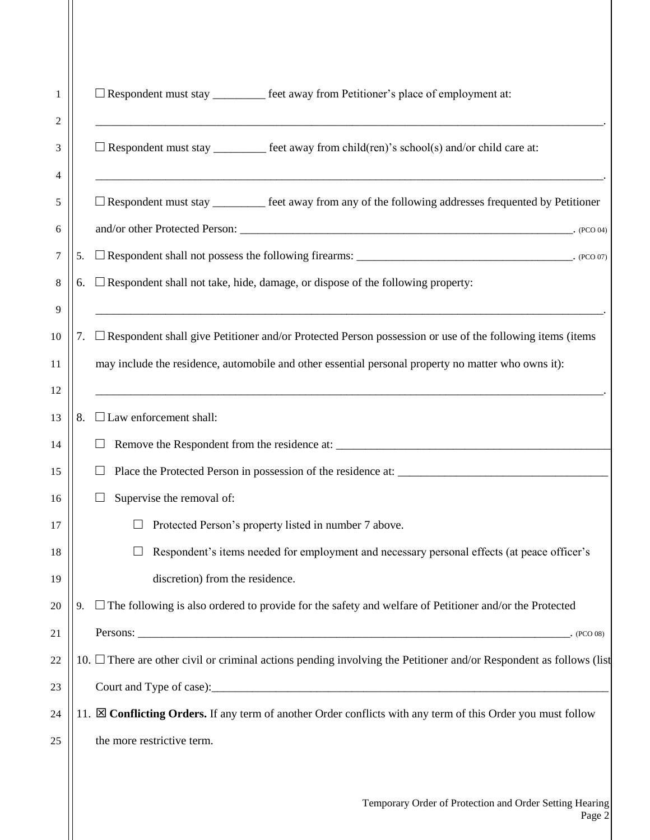| 1<br>2  |                           | $\Box$ Respondent must stay __________ feet away from Petitioner's place of employment at:                               |  |
|---------|---------------------------|--------------------------------------------------------------------------------------------------------------------------|--|
| 3<br>4  |                           | $\Box$ Respondent must stay ___________ feet away from child(ren)'s school(s) and/or child care at:                      |  |
| 5<br>6  |                           | $\Box$ Respondent must stay _________ feet away from any of the following addresses frequented by Petitioner             |  |
| 7       | 5.                        | $\Box$ Respondent shall not possess the following firearms: __________________________________. (PCO 07)                 |  |
| $\,8\,$ | 6.                        | $\Box$ Respondent shall not take, hide, damage, or dispose of the following property:                                    |  |
|         |                           |                                                                                                                          |  |
| 9       |                           | <u> 1989 - Johann Stoff, amerikansk politiker (d. 1989)</u>                                                              |  |
| 10      |                           | 7. Exespondent shall give Petitioner and/or Protected Person possession or use of the following items (items             |  |
| 11      |                           | may include the residence, automobile and other essential personal property no matter who owns it):                      |  |
| 12      |                           |                                                                                                                          |  |
| 13      | 8.                        | $\Box$ Law enforcement shall:                                                                                            |  |
| 14      |                           |                                                                                                                          |  |
| 15      |                           |                                                                                                                          |  |
| 16      | Supervise the removal of: |                                                                                                                          |  |
| 17      |                           | Protected Person's property listed in number 7 above.                                                                    |  |
| 18      |                           | Respondent's items needed for employment and necessary personal effects (at peace officer's                              |  |
| 19      |                           | discretion) from the residence.                                                                                          |  |
| 20      | 9.                        | $\Box$ The following is also ordered to provide for the safety and welfare of Petitioner and/or the Protected            |  |
| 21      |                           | (PCO <sub>08</sub> )                                                                                                     |  |
| 22      |                           | 10. $\Box$ There are other civil or criminal actions pending involving the Petitioner and/or Respondent as follows (list |  |
| 23      |                           |                                                                                                                          |  |
| 24      |                           | 11. S Conflicting Orders. If any term of another Order conflicts with any term of this Order you must follow             |  |
| 25      |                           | the more restrictive term.                                                                                               |  |
|         |                           |                                                                                                                          |  |
|         |                           |                                                                                                                          |  |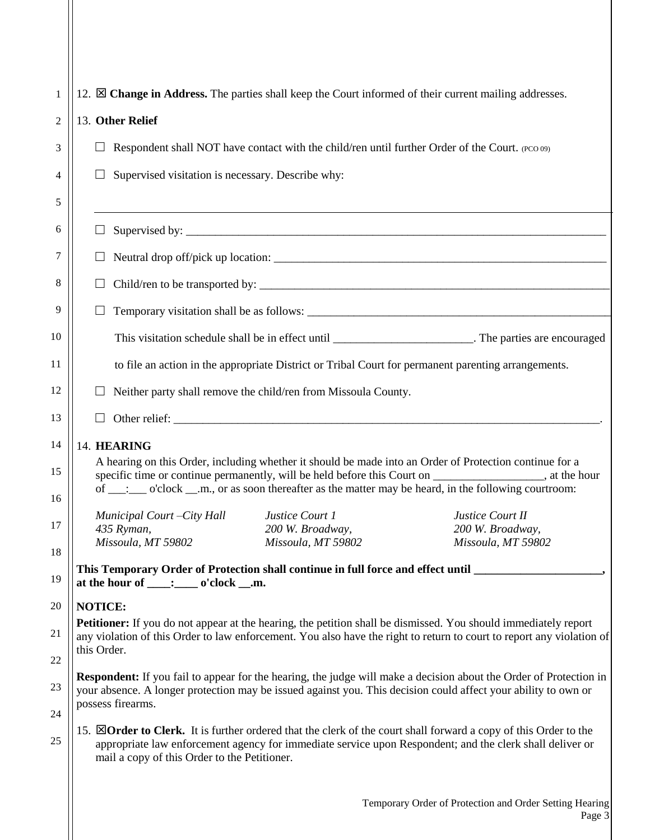| 1              | 12. $\boxtimes$ <b>Change in Address.</b> The parties shall keep the Court informed of their current mailing addresses.                                                                                                                                                             |  |  |  |  |
|----------------|-------------------------------------------------------------------------------------------------------------------------------------------------------------------------------------------------------------------------------------------------------------------------------------|--|--|--|--|
| $\overline{2}$ | 13. Other Relief                                                                                                                                                                                                                                                                    |  |  |  |  |
| 3              | Respondent shall NOT have contact with the child/ren until further Order of the Court. (PCO 09)                                                                                                                                                                                     |  |  |  |  |
| 4              | Supervised visitation is necessary. Describe why:                                                                                                                                                                                                                                   |  |  |  |  |
| 5              |                                                                                                                                                                                                                                                                                     |  |  |  |  |
| 6              |                                                                                                                                                                                                                                                                                     |  |  |  |  |
| 7              |                                                                                                                                                                                                                                                                                     |  |  |  |  |
| 8              | Child/ren to be transported by:                                                                                                                                                                                                                                                     |  |  |  |  |
| 9              | Temporary visitation shall be as follows:                                                                                                                                                                                                                                           |  |  |  |  |
| 10             | This visitation schedule shall be in effect until ___________________________. The parties are encouraged                                                                                                                                                                           |  |  |  |  |
| 11             | to file an action in the appropriate District or Tribal Court for permanent parenting arrangements.                                                                                                                                                                                 |  |  |  |  |
| 12             | Neither party shall remove the child/ren from Missoula County.                                                                                                                                                                                                                      |  |  |  |  |
| 13             |                                                                                                                                                                                                                                                                                     |  |  |  |  |
| 14             | 14. HEARING                                                                                                                                                                                                                                                                         |  |  |  |  |
| 15             | A hearing on this Order, including whether it should be made into an Order of Protection continue for a<br>specific time or continue permanently, will be held before this Court on _______________, at the hour                                                                    |  |  |  |  |
| 16             | of __: __ o'clock __.m., or as soon thereafter as the matter may be heard, in the following courtroom:                                                                                                                                                                              |  |  |  |  |
| 17             | Justice Court 1<br>Justice Court II<br>Municipal Court-City Hall<br>435 Ryman,<br>200 W. Broadway,<br>200 W. Broadway,                                                                                                                                                              |  |  |  |  |
| 18             | Missoula, MT 59802<br>Missoula, MT 59802<br>Missoula, MT 59802                                                                                                                                                                                                                      |  |  |  |  |
| 19             | This Temporary Order of Protection shall continue in full force and effect until<br>at the hour of $\_\_\_\_\_\_\$ o'clock $\_\_\_\$ .                                                                                                                                              |  |  |  |  |
| 20             | <b>NOTICE:</b>                                                                                                                                                                                                                                                                      |  |  |  |  |
| 21             | <b>Petitioner:</b> If you do not appear at the hearing, the petition shall be dismissed. You should immediately report<br>any violation of this Order to law enforcement. You also have the right to return to court to report any violation of                                     |  |  |  |  |
| 22             | this Order.                                                                                                                                                                                                                                                                         |  |  |  |  |
| 23             | <b>Respondent:</b> If you fail to appear for the hearing, the judge will make a decision about the Order of Protection in<br>your absence. A longer protection may be issued against you. This decision could affect your ability to own or                                         |  |  |  |  |
| 24             | possess firearms.                                                                                                                                                                                                                                                                   |  |  |  |  |
| 25             | 15. <b>Norder to Clerk.</b> It is further ordered that the clerk of the court shall forward a copy of this Order to the<br>appropriate law enforcement agency for immediate service upon Respondent; and the clerk shall deliver or<br>mail a copy of this Order to the Petitioner. |  |  |  |  |